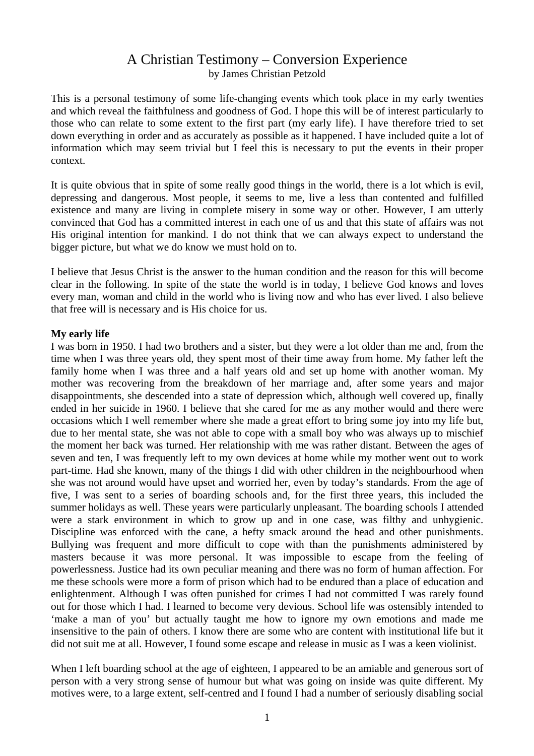# A Christian Testimony – Conversion Experience by James Christian Petzold

This is a personal testimony of some life-changing events which took place in my early twenties and which reveal the faithfulness and goodness of God. I hope this will be of interest particularly to those who can relate to some extent to the first part (my early life). I have therefore tried to set down everything in order and as accurately as possible as it happened. I have included quite a lot of information which may seem trivial but I feel this is necessary to put the events in their proper context.

It is quite obvious that in spite of some really good things in the world, there is a lot which is evil, depressing and dangerous. Most people, it seems to me, live a less than contented and fulfilled existence and many are living in complete misery in some way or other. However, I am utterly convinced that God has a committed interest in each one of us and that this state of affairs was not His original intention for mankind. I do not think that we can always expect to understand the bigger picture, but what we do know we must hold on to.

I believe that Jesus Christ is the answer to the human condition and the reason for this will become clear in the following. In spite of the state the world is in today, I believe God knows and loves every man, woman and child in the world who is living now and who has ever lived. I also believe that free will is necessary and is His choice for us.

## **My early life**

I was born in 1950. I had two brothers and a sister, but they were a lot older than me and, from the time when I was three years old, they spent most of their time away from home. My father left the family home when I was three and a half years old and set up home with another woman. My mother was recovering from the breakdown of her marriage and, after some years and major disappointments, she descended into a state of depression which, although well covered up, finally ended in her suicide in 1960. I believe that she cared for me as any mother would and there were occasions which I well remember where she made a great effort to bring some joy into my life but, due to her mental state, she was not able to cope with a small boy who was always up to mischief the moment her back was turned. Her relationship with me was rather distant. Between the ages of seven and ten. I was frequently left to my own devices at home while my mother went out to work part-time. Had she known, many of the things I did with other children in the neighbourhood when she was not around would have upset and worried her, even by today's standards. From the age of five, I was sent to a series of boarding schools and, for the first three years, this included the summer holidays as well. These years were particularly unpleasant. The boarding schools I attended were a stark environment in which to grow up and in one case, was filthy and unhygienic. Discipline was enforced with the cane, a hefty smack around the head and other punishments. Bullying was frequent and more difficult to cope with than the punishments administered by masters because it was more personal. It was impossible to escape from the feeling of powerlessness. Justice had its own peculiar meaning and there was no form of human affection. For me these schools were more a form of prison which had to be endured than a place of education and enlightenment. Although I was often punished for crimes I had not committed I was rarely found out for those which I had. I learned to become very devious. School life was ostensibly intended to 'make a man of you' but actually taught me how to ignore my own emotions and made me insensitive to the pain of others. I know there are some who are content with institutional life but it did not suit me at all. However, I found some escape and release in music as I was a keen violinist.

When I left boarding school at the age of eighteen, I appeared to be an amiable and generous sort of person with a very strong sense of humour but what was going on inside was quite different. My motives were, to a large extent, self-centred and I found I had a number of seriously disabling social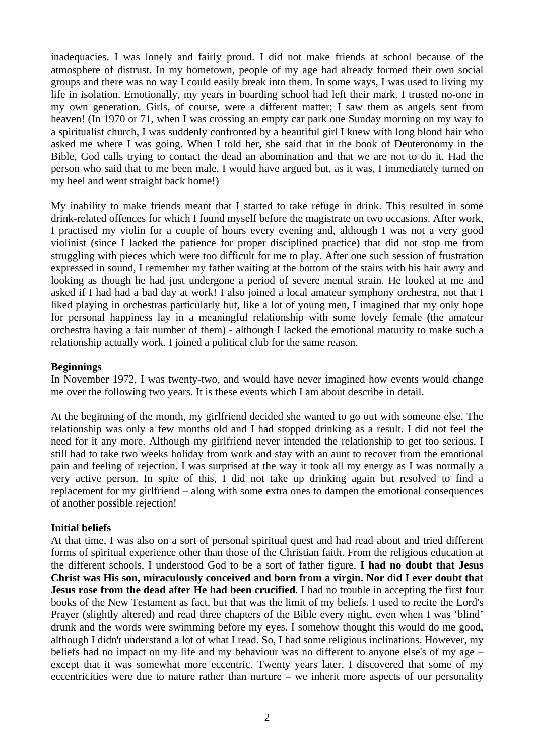inadequacies. I was lonely and fairly proud. I did not make friends at school because of the atmosphere of distrust. In my hometown, people of my age had already formed their own social groups and there was no way I could easily break into them. In some ways, I was used to living my life in isolation. Emotionally, my years in boarding school had left their mark. I trusted no-one in my own generation. Girls, of course, were a different matter; I saw them as angels sent from heaven! (In 1970 or 71, when I was crossing an empty car park one Sunday morning on my way to a spiritualist church, I was suddenly confronted by a beautiful girl I knew with long blond hair who asked me where I was going. When I told her, she said that in the book of Deuteronomy in the Bible, God calls trying to contact the dead an abomination and that we are not to do it. Had the person who said that to me been male, I would have argued but, as it was, I immediately turned on my heel and went straight back home!)

My inability to make friends meant that I started to take refuge in drink. This resulted in some drink-related offences for which I found myself before the magistrate on two occasions. After work, I practised my violin for a couple of hours every evening and, although I was not a very good violinist (since I lacked the patience for proper disciplined practice) that did not stop me from struggling with pieces which were too difficult for me to play. After one such session of frustration expressed in sound, I remember my father waiting at the bottom of the stairs with his hair awry and looking as though he had just undergone a period of severe mental strain. He looked at me and asked if I had had a bad day at work! I also joined a local amateur symphony orchestra, not that I liked playing in orchestras particularly but, like a lot of young men, I imagined that my only hope for personal happiness lay in a meaningful relationship with some lovely female (the amateur orchestra having a fair number of them) - although I lacked the emotional maturity to make such a relationship actually work. I joined a political club for the same reason.

## **Beginnings**

In November 1972, I was twenty-two, and would have never imagined how events would change me over the following two years. It is these events which I am about describe in detail.

At the beginning of the month, my girlfriend decided she wanted to go out with someone else. The relationship was only a few months old and I had stopped drinking as a result. I did not feel the need for it any more. Although my girlfriend never intended the relationship to get too serious, I still had to take two weeks holiday from work and stay with an aunt to recover from the emotional pain and feeling of rejection. I was surprised at the way it took all my energy as I was normally a very active person. In spite of this, I did not take up drinking again but resolved to find a replacement for my girlfriend – along with some extra ones to dampen the emotional consequences of another possible rejection!

## **Initial beliefs**

At that time, I was also on a sort of personal spiritual quest and had read about and tried different forms of spiritual experience other than those of the Christian faith. From the religious education at the different schools, I understood God to be a sort of father figure. **I had no doubt that Jesus Christ was His son, miraculously conceived and born from a virgin. Nor did I ever doubt that Jesus rose from the dead after He had been crucified.** I had no trouble in accepting the first four books of the New Testament as fact, but that was the limit of my beliefs. I used to recite the Lord's Prayer (slightly altered) and read three chapters of the Bible every night, even when I was 'blind' drunk and the words were swimming before my eyes. I somehow thought this would do me good, although I didn't understand a lot of what I read. So, I had some religious inclinations. However, my beliefs had no impact on my life and my behaviour was no different to anyone else's of my age – except that it was somewhat more eccentric. Twenty years later, I discovered that some of my eccentricities were due to nature rather than nurture – we inherit more aspects of our personality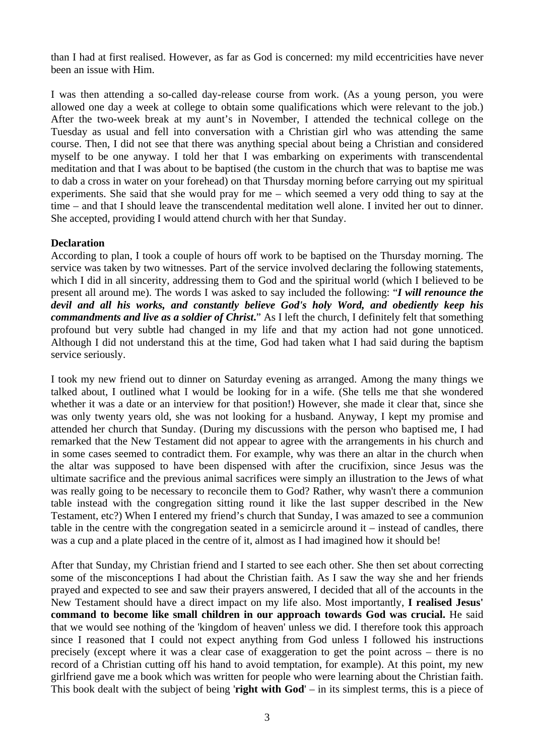than I had at first realised. However, as far as God is concerned: my mild eccentricities have never been an issue with Him.

I was then attending a so-called day-release course from work. (As a young person, you were allowed one day a week at college to obtain some qualifications which were relevant to the job.) After the two-week break at my aunt's in November, I attended the technical college on the Tuesday as usual and fell into conversation with a Christian girl who was attending the same course. Then, I did not see that there was anything special about being a Christian and considered myself to be one anyway. I told her that I was embarking on experiments with transcendental meditation and that I was about to be baptised (the custom in the church that was to baptise me was to dab a cross in water on your forehead) on that Thursday morning before carrying out my spiritual experiments. She said that she would pray for me – which seemed a very odd thing to say at the time – and that I should leave the transcendental meditation well alone. I invited her out to dinner. She accepted, providing I would attend church with her that Sunday.

## **Declaration**

According to plan, I took a couple of hours off work to be baptised on the Thursday morning. The service was taken by two witnesses. Part of the service involved declaring the following statements, which I did in all sincerity, addressing them to God and the spiritual world (which I believed to be present all around me). The words I was asked to say included the following: "*I will renounce the devil and all his works, and constantly believe God's holy Word, and obediently keep his commandments and live as a soldier of Christ***.**" As I left the church, I definitely felt that something profound but very subtle had changed in my life and that my action had not gone unnoticed. Although I did not understand this at the time, God had taken what I had said during the baptism service seriously.

I took my new friend out to dinner on Saturday evening as arranged. Among the many things we talked about, I outlined what I would be looking for in a wife. (She tells me that she wondered whether it was a date or an interview for that position!) However, she made it clear that, since she was only twenty years old, she was not looking for a husband. Anyway, I kept my promise and attended her church that Sunday. (During my discussions with the person who baptised me, I had remarked that the New Testament did not appear to agree with the arrangements in his church and in some cases seemed to contradict them. For example, why was there an altar in the church when the altar was supposed to have been dispensed with after the crucifixion, since Jesus was the ultimate sacrifice and the previous animal sacrifices were simply an illustration to the Jews of what was really going to be necessary to reconcile them to God? Rather, why wasn't there a communion table instead with the congregation sitting round it like the last supper described in the New Testament, etc?) When I entered my friend's church that Sunday, I was amazed to see a communion table in the centre with the congregation seated in a semicircle around it – instead of candles, there was a cup and a plate placed in the centre of it, almost as I had imagined how it should be!

After that Sunday, my Christian friend and I started to see each other. She then set about correcting some of the misconceptions I had about the Christian faith. As I saw the way she and her friends prayed and expected to see and saw their prayers answered, I decided that all of the accounts in the New Testament should have a direct impact on my life also. Most importantly, **I realised Jesus' command to become like small children in our approach towards God was crucial.** He said that we would see nothing of the 'kingdom of heaven' unless we did. I therefore took this approach since I reasoned that I could not expect anything from God unless I followed his instructions precisely (except where it was a clear case of exaggeration to get the point across – there is no record of a Christian cutting off his hand to avoid temptation, for example). At this point, my new girlfriend gave me a book which was written for people who were learning about the Christian faith. This book dealt with the subject of being '**right with God**' – in its simplest terms, this is a piece of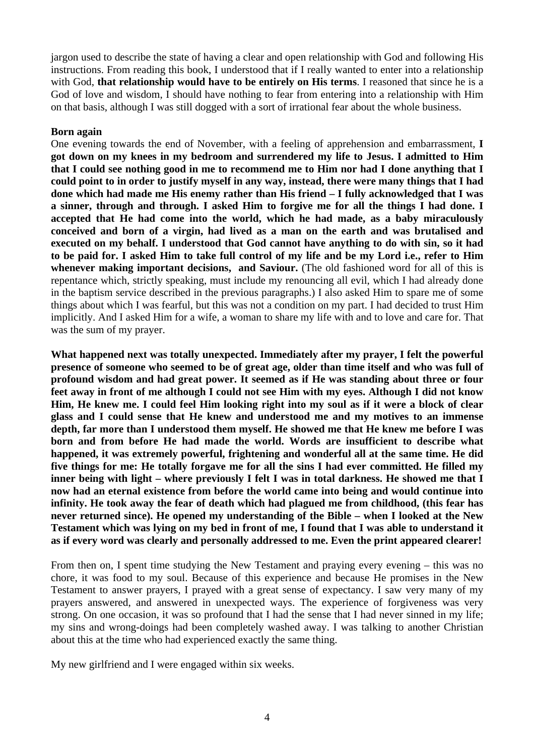jargon used to describe the state of having a clear and open relationship with God and following His instructions. From reading this book, I understood that if I really wanted to enter into a relationship with God, **that relationship would have to be entirely on His terms**. I reasoned that since he is a God of love and wisdom, I should have nothing to fear from entering into a relationship with Him on that basis, although I was still dogged with a sort of irrational fear about the whole business.

## **Born again**

One evening towards the end of November, with a feeling of apprehension and embarrassment, **I got down on my knees in my bedroom and surrendered my life to Jesus. I admitted to Him that I could see nothing good in me to recommend me to Him nor had I done anything that I could point to in order to justify myself in any way, instead, there were many things that I had done which had made me His enemy rather than His friend – I fully acknowledged that I was a sinner, through and through. I asked Him to forgive me for all the things I had done. I accepted that He had come into the world, which he had made, as a baby miraculously conceived and born of a virgin, had lived as a man on the earth and was brutalised and executed on my behalf. I understood that God cannot have anything to do with sin, so it had to be paid for. I asked Him to take full control of my life and be my Lord i.e., refer to Him whenever making important decisions, and Saviour.** (The old fashioned word for all of this is repentance which, strictly speaking, must include my renouncing all evil, which I had already done in the baptism service described in the previous paragraphs.) I also asked Him to spare me of some things about which I was fearful, but this was not a condition on my part. I had decided to trust Him implicitly. And I asked Him for a wife, a woman to share my life with and to love and care for. That was the sum of my prayer.

**What happened next was totally unexpected. Immediately after my prayer, I felt the powerful presence of someone who seemed to be of great age, older than time itself and who was full of profound wisdom and had great power. It seemed as if He was standing about three or four feet away in front of me although I could not see Him with my eyes. Although I did not know Him, He knew me. I could feel Him looking right into my soul as if it were a block of clear glass and I could sense that He knew and understood me and my motives to an immense depth, far more than I understood them myself. He showed me that He knew me before I was born and from before He had made the world. Words are insufficient to describe what happened, it was extremely powerful, frightening and wonderful all at the same time. He did five things for me: He totally forgave me for all the sins I had ever committed. He filled my inner being with light – where previously I felt I was in total darkness. He showed me that I now had an eternal existence from before the world came into being and would continue into infinity. He took away the fear of death which had plagued me from childhood, (this fear has never returned since). He opened my understanding of the Bible – when I looked at the New Testament which was lying on my bed in front of me, I found that I was able to understand it as if every word was clearly and personally addressed to me. Even the print appeared clearer!**

From then on, I spent time studying the New Testament and praying every evening – this was no chore, it was food to my soul. Because of this experience and because He promises in the New Testament to answer prayers, I prayed with a great sense of expectancy. I saw very many of my prayers answered, and answered in unexpected ways. The experience of forgiveness was very strong. On one occasion, it was so profound that I had the sense that I had never sinned in my life; my sins and wrong-doings had been completely washed away. I was talking to another Christian about this at the time who had experienced exactly the same thing.

My new girlfriend and I were engaged within six weeks.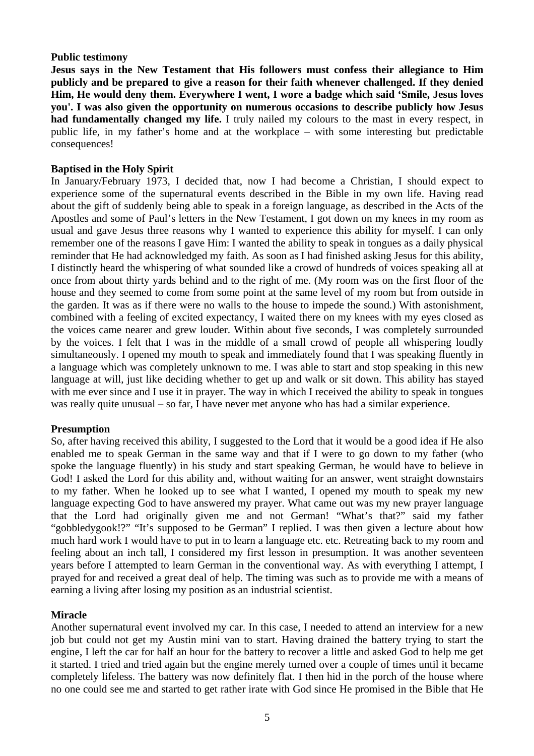#### **Public testimony**

**Jesus says in the New Testament that His followers must confess their allegiance to Him publicly and be prepared to give a reason for their faith whenever challenged. If they denied Him, He would deny them. Everywhere I went, I wore a badge which said 'Smile, Jesus loves you'. I was also given the opportunity on numerous occasions to describe publicly how Jesus had fundamentally changed my life.** I truly nailed my colours to the mast in every respect, in public life, in my father's home and at the workplace – with some interesting but predictable consequences!

## **Baptised in the Holy Spirit**

In January/February 1973, I decided that, now I had become a Christian, I should expect to experience some of the supernatural events described in the Bible in my own life. Having read about the gift of suddenly being able to speak in a foreign language, as described in the Acts of the Apostles and some of Paul's letters in the New Testament, I got down on my knees in my room as usual and gave Jesus three reasons why I wanted to experience this ability for myself. I can only remember one of the reasons I gave Him: I wanted the ability to speak in tongues as a daily physical reminder that He had acknowledged my faith. As soon as I had finished asking Jesus for this ability, I distinctly heard the whispering of what sounded like a crowd of hundreds of voices speaking all at once from about thirty yards behind and to the right of me. (My room was on the first floor of the house and they seemed to come from some point at the same level of my room but from outside in the garden. It was as if there were no walls to the house to impede the sound.) With astonishment, combined with a feeling of excited expectancy, I waited there on my knees with my eyes closed as the voices came nearer and grew louder. Within about five seconds, I was completely surrounded by the voices. I felt that I was in the middle of a small crowd of people all whispering loudly simultaneously. I opened my mouth to speak and immediately found that I was speaking fluently in a language which was completely unknown to me. I was able to start and stop speaking in this new language at will, just like deciding whether to get up and walk or sit down. This ability has stayed with me ever since and I use it in prayer. The way in which I received the ability to speak in tongues was really quite unusual – so far, I have never met anyone who has had a similar experience.

## **Presumption**

So, after having received this ability, I suggested to the Lord that it would be a good idea if He also enabled me to speak German in the same way and that if I were to go down to my father (who spoke the language fluently) in his study and start speaking German, he would have to believe in God! I asked the Lord for this ability and, without waiting for an answer, went straight downstairs to my father. When he looked up to see what I wanted, I opened my mouth to speak my new language expecting God to have answered my prayer. What came out was my new prayer language that the Lord had originally given me and not German! "What's that?" said my father "gobbledygook!?" "It's supposed to be German" I replied. I was then given a lecture about how much hard work I would have to put in to learn a language etc. etc. Retreating back to my room and feeling about an inch tall, I considered my first lesson in presumption. It was another seventeen years before I attempted to learn German in the conventional way. As with everything I attempt, I prayed for and received a great deal of help. The timing was such as to provide me with a means of earning a living after losing my position as an industrial scientist.

# **Miracle**

Another supernatural event involved my car. In this case, I needed to attend an interview for a new job but could not get my Austin mini van to start. Having drained the battery trying to start the engine, I left the car for half an hour for the battery to recover a little and asked God to help me get it started. I tried and tried again but the engine merely turned over a couple of times until it became completely lifeless. The battery was now definitely flat. I then hid in the porch of the house where no one could see me and started to get rather irate with God since He promised in the Bible that He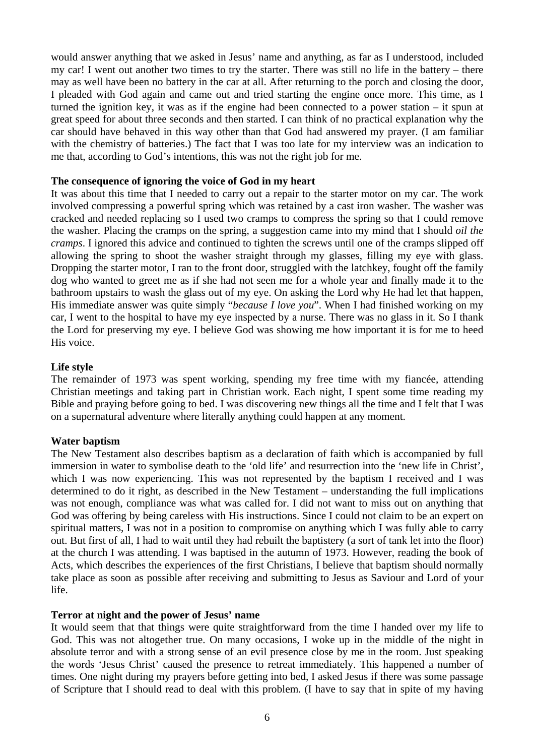would answer anything that we asked in Jesus' name and anything, as far as I understood, included my car! I went out another two times to try the starter. There was still no life in the battery – there may as well have been no battery in the car at all. After returning to the porch and closing the door, I pleaded with God again and came out and tried starting the engine once more. This time, as I turned the ignition key, it was as if the engine had been connected to a power station – it spun at great speed for about three seconds and then started. I can think of no practical explanation why the car should have behaved in this way other than that God had answered my prayer. (I am familiar with the chemistry of batteries.) The fact that I was too late for my interview was an indication to me that, according to God's intentions, this was not the right job for me.

#### **The consequence of ignoring the voice of God in my heart**

It was about this time that I needed to carry out a repair to the starter motor on my car. The work involved compressing a powerful spring which was retained by a cast iron washer. The washer was cracked and needed replacing so I used two cramps to compress the spring so that I could remove the washer. Placing the cramps on the spring, a suggestion came into my mind that I should *oil the cramps*. I ignored this advice and continued to tighten the screws until one of the cramps slipped off allowing the spring to shoot the washer straight through my glasses, filling my eye with glass. Dropping the starter motor, I ran to the front door, struggled with the latchkey, fought off the family dog who wanted to greet me as if she had not seen me for a whole year and finally made it to the bathroom upstairs to wash the glass out of my eye. On asking the Lord why He had let that happen, His immediate answer was quite simply "*because I love you*". When I had finished working on my car, I went to the hospital to have my eye inspected by a nurse. There was no glass in it. So I thank the Lord for preserving my eye. I believe God was showing me how important it is for me to heed His voice.

## **Life style**

The remainder of 1973 was spent working, spending my free time with my fiancée, attending Christian meetings and taking part in Christian work. Each night, I spent some time reading my Bible and praying before going to bed. I was discovering new things all the time and I felt that I was on a supernatural adventure where literally anything could happen at any moment.

## **Water baptism**

The New Testament also describes baptism as a declaration of faith which is accompanied by full immersion in water to symbolise death to the 'old life' and resurrection into the 'new life in Christ', which I was now experiencing. This was not represented by the baptism I received and I was determined to do it right, as described in the New Testament – understanding the full implications was not enough, compliance was what was called for. I did not want to miss out on anything that God was offering by being careless with His instructions. Since I could not claim to be an expert on spiritual matters, I was not in a position to compromise on anything which I was fully able to carry out. But first of all, I had to wait until they had rebuilt the baptistery (a sort of tank let into the floor) at the church I was attending. I was baptised in the autumn of 1973. However, reading the book of Acts, which describes the experiences of the first Christians, I believe that baptism should normally take place as soon as possible after receiving and submitting to Jesus as Saviour and Lord of your life.

#### **Terror at night and the power of Jesus' name**

It would seem that that things were quite straightforward from the time I handed over my life to God. This was not altogether true. On many occasions, I woke up in the middle of the night in absolute terror and with a strong sense of an evil presence close by me in the room. Just speaking the words 'Jesus Christ' caused the presence to retreat immediately. This happened a number of times. One night during my prayers before getting into bed, I asked Jesus if there was some passage of Scripture that I should read to deal with this problem. (I have to say that in spite of my having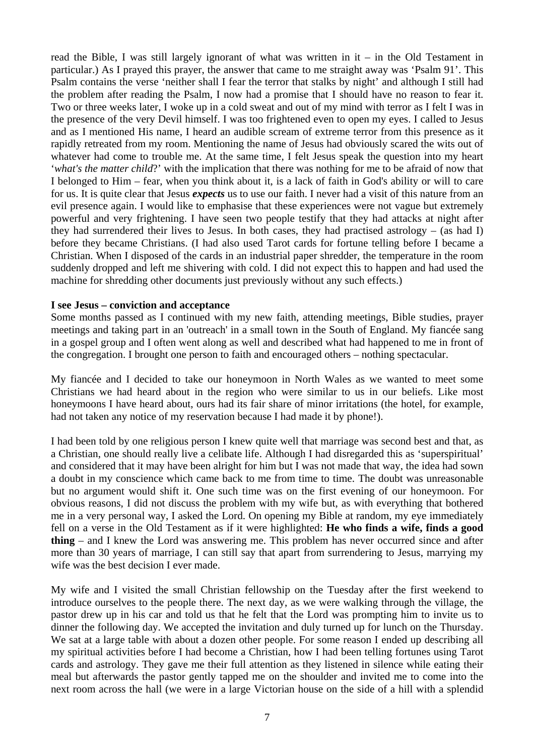read the Bible, I was still largely ignorant of what was written in it – in the Old Testament in particular.) As I prayed this prayer, the answer that came to me straight away was 'Psalm 91'. This Psalm contains the verse 'neither shall I fear the terror that stalks by night' and although I still had the problem after reading the Psalm, I now had a promise that I should have no reason to fear it. Two or three weeks later, I woke up in a cold sweat and out of my mind with terror as I felt I was in the presence of the very Devil himself. I was too frightened even to open my eyes. I called to Jesus and as I mentioned His name, I heard an audible scream of extreme terror from this presence as it rapidly retreated from my room. Mentioning the name of Jesus had obviously scared the wits out of whatever had come to trouble me. At the same time, I felt Jesus speak the question into my heart '*what's the matter child*?' with the implication that there was nothing for me to be afraid of now that I belonged to Him – fear, when you think about it, is a lack of faith in God's ability or will to care for us. It is quite clear that Jesus *expects* us to use our faith. I never had a visit of this nature from an evil presence again. I would like to emphasise that these experiences were not vague but extremely powerful and very frightening. I have seen two people testify that they had attacks at night after they had surrendered their lives to Jesus. In both cases, they had practised astrology – (as had I) before they became Christians. (I had also used Tarot cards for fortune telling before I became a Christian. When I disposed of the cards in an industrial paper shredder, the temperature in the room suddenly dropped and left me shivering with cold. I did not expect this to happen and had used the machine for shredding other documents just previously without any such effects.)

#### **I see Jesus – conviction and acceptance**

Some months passed as I continued with my new faith, attending meetings, Bible studies, prayer meetings and taking part in an 'outreach' in a small town in the South of England. My fiancée sang in a gospel group and I often went along as well and described what had happened to me in front of the congregation. I brought one person to faith and encouraged others – nothing spectacular.

My fiancée and I decided to take our honeymoon in North Wales as we wanted to meet some Christians we had heard about in the region who were similar to us in our beliefs. Like most honeymoons I have heard about, ours had its fair share of minor irritations (the hotel, for example, had not taken any notice of my reservation because I had made it by phone!).

I had been told by one religious person I knew quite well that marriage was second best and that, as a Christian, one should really live a celibate life. Although I had disregarded this as 'superspiritual' and considered that it may have been alright for him but I was not made that way, the idea had sown a doubt in my conscience which came back to me from time to time. The doubt was unreasonable but no argument would shift it. One such time was on the first evening of our honeymoon. For obvious reasons, I did not discuss the problem with my wife but, as with everything that bothered me in a very personal way, I asked the Lord. On opening my Bible at random, my eye immediately fell on a verse in the Old Testament as if it were highlighted: **He who finds a wife, finds a good thing** – and I knew the Lord was answering me. This problem has never occurred since and after more than 30 years of marriage, I can still say that apart from surrendering to Jesus, marrying my wife was the best decision I ever made.

My wife and I visited the small Christian fellowship on the Tuesday after the first weekend to introduce ourselves to the people there. The next day, as we were walking through the village, the pastor drew up in his car and told us that he felt that the Lord was prompting him to invite us to dinner the following day. We accepted the invitation and duly turned up for lunch on the Thursday. We sat at a large table with about a dozen other people. For some reason I ended up describing all my spiritual activities before I had become a Christian, how I had been telling fortunes using Tarot cards and astrology. They gave me their full attention as they listened in silence while eating their meal but afterwards the pastor gently tapped me on the shoulder and invited me to come into the next room across the hall (we were in a large Victorian house on the side of a hill with a splendid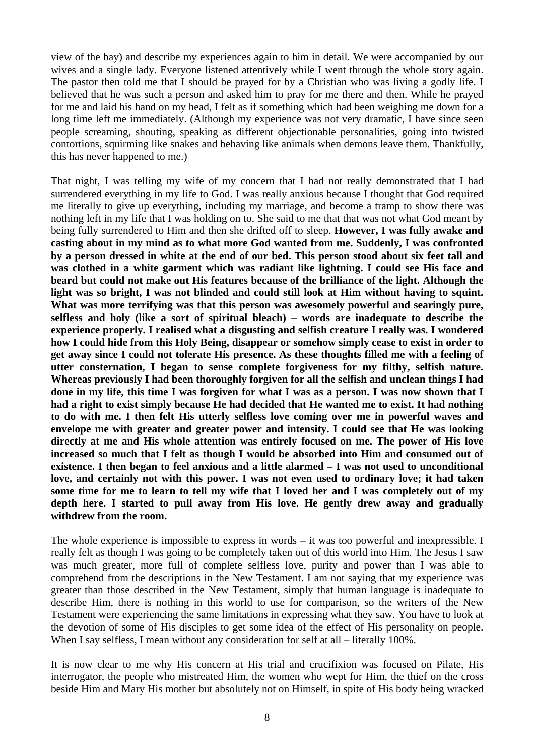view of the bay) and describe my experiences again to him in detail. We were accompanied by our wives and a single lady. Everyone listened attentively while I went through the whole story again. The pastor then told me that I should be prayed for by a Christian who was living a godly life. I believed that he was such a person and asked him to pray for me there and then. While he prayed for me and laid his hand on my head, I felt as if something which had been weighing me down for a long time left me immediately. (Although my experience was not very dramatic, I have since seen people screaming, shouting, speaking as different objectionable personalities, going into twisted contortions, squirming like snakes and behaving like animals when demons leave them. Thankfully, this has never happened to me.)

That night, I was telling my wife of my concern that I had not really demonstrated that I had surrendered everything in my life to God. I was really anxious because I thought that God required me literally to give up everything, including my marriage, and become a tramp to show there was nothing left in my life that I was holding on to. She said to me that that was not what God meant by being fully surrendered to Him and then she drifted off to sleep. **However, I was fully awake and casting about in my mind as to what more God wanted from me. Suddenly, I was confronted by a person dressed in white at the end of our bed. This person stood about six feet tall and was clothed in a white garment which was radiant like lightning. I could see His face and beard but could not make out His features because of the brilliance of the light. Although the light was so bright, I was not blinded and could still look at Him without having to squint. What was more terrifying was that this person was awesomely powerful and searingly pure, selfless and holy (like a sort of spiritual bleach) – words are inadequate to describe the experience properly. I realised what a disgusting and selfish creature I really was. I wondered how I could hide from this Holy Being, disappear or somehow simply cease to exist in order to get away since I could not tolerate His presence. As these thoughts filled me with a feeling of utter consternation, I began to sense complete forgiveness for my filthy, selfish nature. Whereas previously I had been thoroughly forgiven for all the selfish and unclean things I had done in my life, this time I was forgiven for what I was as a person. I was now shown that I had a right to exist simply because He had decided that He wanted me to exist. It had nothing to do with me. I then felt His utterly selfless love coming over me in powerful waves and envelope me with greater and greater power and intensity. I could see that He was looking directly at me and His whole attention was entirely focused on me. The power of His love increased so much that I felt as though I would be absorbed into Him and consumed out of existence. I then began to feel anxious and a little alarmed – I was not used to unconditional love, and certainly not with this power. I was not even used to ordinary love; it had taken some time for me to learn to tell my wife that I loved her and I was completely out of my depth here. I started to pull away from His love. He gently drew away and gradually withdrew from the room.**

The whole experience is impossible to express in words – it was too powerful and inexpressible. I really felt as though I was going to be completely taken out of this world into Him. The Jesus I saw was much greater, more full of complete selfless love, purity and power than I was able to comprehend from the descriptions in the New Testament. I am not saying that my experience was greater than those described in the New Testament, simply that human language is inadequate to describe Him, there is nothing in this world to use for comparison, so the writers of the New Testament were experiencing the same limitations in expressing what they saw. You have to look at the devotion of some of His disciples to get some idea of the effect of His personality on people. When I say selfless, I mean without any consideration for self at all – literally 100%.

It is now clear to me why His concern at His trial and crucifixion was focused on Pilate, His interrogator, the people who mistreated Him, the women who wept for Him, the thief on the cross beside Him and Mary His mother but absolutely not on Himself, in spite of His body being wracked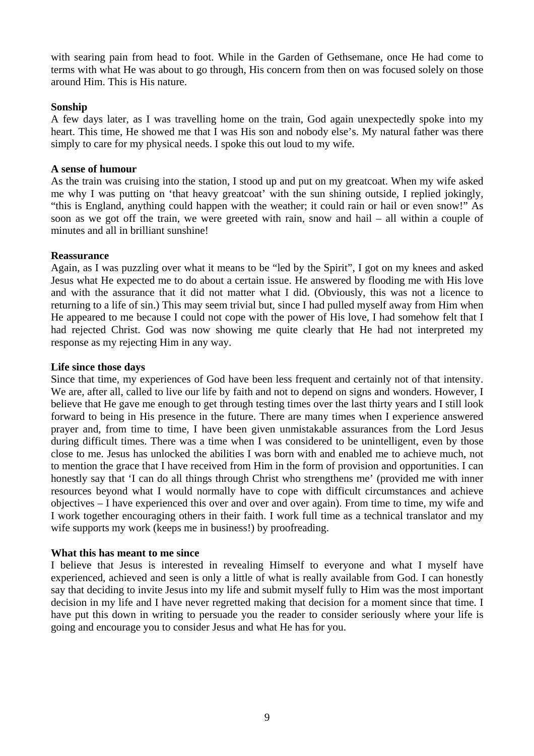with searing pain from head to foot. While in the Garden of Gethsemane, once He had come to terms with what He was about to go through, His concern from then on was focused solely on those around Him. This is His nature.

## **Sonship**

A few days later, as I was travelling home on the train, God again unexpectedly spoke into my heart. This time, He showed me that I was His son and nobody else's. My natural father was there simply to care for my physical needs. I spoke this out loud to my wife.

## **A sense of humour**

As the train was cruising into the station, I stood up and put on my greatcoat. When my wife asked me why I was putting on 'that heavy greatcoat' with the sun shining outside, I replied jokingly, "this is England, anything could happen with the weather; it could rain or hail or even snow!" As soon as we got off the train, we were greeted with rain, snow and hail – all within a couple of minutes and all in brilliant sunshine!

## **Reassurance**

Again, as I was puzzling over what it means to be "led by the Spirit", I got on my knees and asked Jesus what He expected me to do about a certain issue. He answered by flooding me with His love and with the assurance that it did not matter what I did. (Obviously, this was not a licence to returning to a life of sin.) This may seem trivial but, since I had pulled myself away from Him when He appeared to me because I could not cope with the power of His love, I had somehow felt that I had rejected Christ. God was now showing me quite clearly that He had not interpreted my response as my rejecting Him in any way.

## **Life since those days**

Since that time, my experiences of God have been less frequent and certainly not of that intensity. We are, after all, called to live our life by faith and not to depend on signs and wonders. However, I believe that He gave me enough to get through testing times over the last thirty years and I still look forward to being in His presence in the future. There are many times when I experience answered prayer and, from time to time, I have been given unmistakable assurances from the Lord Jesus during difficult times. There was a time when I was considered to be unintelligent, even by those close to me. Jesus has unlocked the abilities I was born with and enabled me to achieve much, not to mention the grace that I have received from Him in the form of provision and opportunities. I can honestly say that 'I can do all things through Christ who strengthens me' (provided me with inner resources beyond what I would normally have to cope with difficult circumstances and achieve objectives – I have experienced this over and over and over again). From time to time, my wife and I work together encouraging others in their faith. I work full time as a technical translator and my wife supports my work (keeps me in business!) by proofreading.

## **What this has meant to me since**

I believe that Jesus is interested in revealing Himself to everyone and what I myself have experienced, achieved and seen is only a little of what is really available from God. I can honestly say that deciding to invite Jesus into my life and submit myself fully to Him was the most important decision in my life and I have never regretted making that decision for a moment since that time. I have put this down in writing to persuade you the reader to consider seriously where your life is going and encourage you to consider Jesus and what He has for you.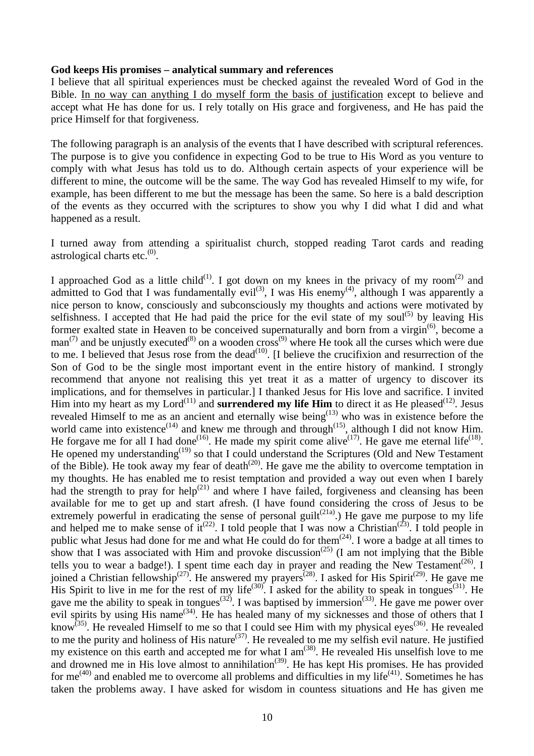#### **God keeps His promises – analytical summary and references**

I believe that all spiritual experiences must be checked against the revealed Word of God in the Bible. In no way can anything I do myself form the basis of justification except to believe and accept what He has done for us. I rely totally on His grace and forgiveness, and He has paid the price Himself for that forgiveness.

The following paragraph is an analysis of the events that I have described with scriptural references. The purpose is to give you confidence in expecting God to be true to His Word as you venture to comply with what Jesus has told us to do. Although certain aspects of your experience will be different to mine, the outcome will be the same. The way God has revealed Himself to my wife, for example, has been different to me but the message has been the same. So here is a bald description of the events as they occurred with the scriptures to show you why I did what I did and what happened as a result.

I turned away from attending a spiritualist church, stopped reading Tarot cards and reading astrological charts etc. $(0)$ .

I approached God as a little child<sup>(1)</sup>. I got down on my knees in the privacy of my room<sup>(2)</sup> and admitted to God that I was fundamentally evil<sup>(3)</sup>, I was His enemy<sup>(4)</sup>, although I was apparently a nice person to know, consciously and subconsciously my thoughts and actions were motivated by selfishness. I accepted that He had paid the price for the evil state of my soul<sup>(5)</sup> by leaving His former exalted state in Heaven to be conceived supernaturally and born from a virgin<sup>(6)</sup>, become a  $\text{man}^{(7)}$  and be unjustly executed<sup>(8)</sup> on a wooden cross<sup>(9)</sup> where He took all the curses which were due to me. I believed that Jesus rose from the dead<sup> $(10)$ </sup>. [I believe the crucifixion and resurrection of the Son of God to be the single most important event in the entire history of mankind. I strongly recommend that anyone not realising this yet treat it as a matter of urgency to discover its implications, and for themselves in particular.] I thanked Jesus for His love and sacrifice. I invited Him into my heart as my  $Lord^{(11)}$  and **surrendered my life Him** to direct it as He pleased<sup>(12)</sup>. Jesus revealed Himself to me as an ancient and eternally wise being<sup>(13)</sup> who was in existence before the world came into existence<sup>(14)</sup> and knew me through and through<sup>(15)</sup>, although I did not know Him. He forgave me for all I had done<sup>(16)</sup>. He made my spirit come alive<sup>(17)</sup>. He gave me eternal life<sup>(18)</sup>. He opened my understanding<sup>(19)</sup> so that I could understand the Scriptures (Old and New Testament of the Bible). He took away my fear of death<sup> $(20)$ </sup>. He gave me the ability to overcome temptation in my thoughts. He has enabled me to resist temptation and provided a way out even when I barely had the strength to pray for help<sup>(21)</sup> and where I have failed, forgiveness and cleansing has been available for me to get up and start afresh. (I have found considering the cross of Jesus to be extremely powerful in eradicating the sense of personal guilt<sup> $(21a)$ </sup>.) He gave me purpose to my life and helped me to make sense of  $it^{(22)}$ . I told people that I was now a Christian<sup>(23)</sup>. I told people in public what Jesus had done for me and what He could do for them<sup> $(24)$ </sup>. I wore a badge at all times to show that I was associated with Him and provoke discussion<sup>(25)</sup> (I am not implying that the Bible tells you to wear a badge!). I spent time each day in prayer and reading the New Testament<sup>(26)</sup>. I joined a Christian fellowship<sup>(27)</sup>. He answered my prayers<sup>(28)</sup>. I asked for His Spirit<sup>(29)</sup>. He gave me His Spirit to live in me for the rest of my life<sup>(30)</sup>. I asked for the ability to speak in tongues<sup>(31)</sup>. He gave me the ability to speak in tongues<sup>(32)</sup>. I was baptised by immersion<sup>(33)</sup>. He gave me power over evil spirits by using His name<sup>(34)</sup>. He has healed many of my sicknesses and those of others that I know<sup>(35)</sup>. He revealed Himself to me so that I could see Him with my physical eyes<sup>(36)</sup>. He revealed to me the purity and holiness of His nature<sup>(37)</sup>. He revealed to me my selfish evil nature. He justified my existence on this earth and accepted me for what I  $am^{(38)}$ . He revealed His unselfish love to me and drowned me in His love almost to annihilation<sup>(39)</sup>. He has kept His promises. He has provided for me<sup> $(40)$ </sup> and enabled me to overcome all problems and difficulties in my life<sup> $(41)$ </sup>. Sometimes he has taken the problems away. I have asked for wisdom in countess situations and He has given me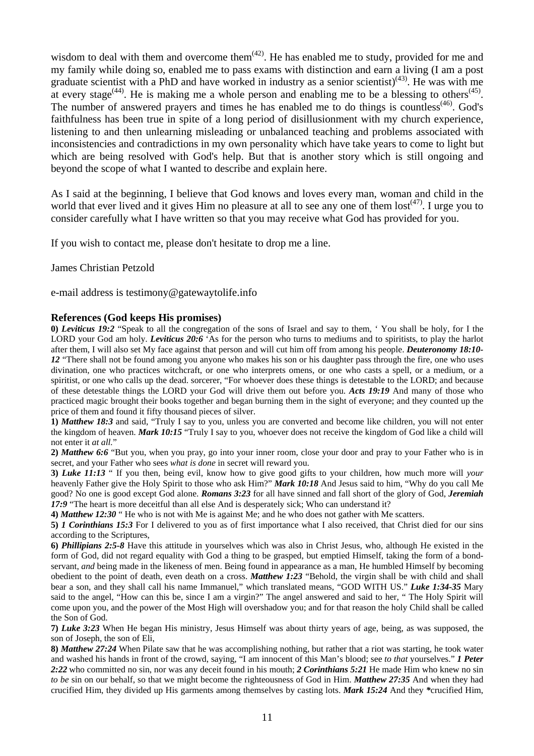wisdom to deal with them and overcome them<sup> $(42)$ </sup>. He has enabled me to study, provided for me and my family while doing so, enabled me to pass exams with distinction and earn a living (I am a post graduate scientist with a PhD and have worked in industry as a senior scientist)<sup>(43)</sup>. He was with me at every stage<sup>(44)</sup>. He is making me a whole person and enabling me to be a blessing to others<sup>(45)</sup>. The number of answered prayers and times he has enabled me to do things is countless<sup> $(46)$ </sup>. God's faithfulness has been true in spite of a long period of disillusionment with my church experience, listening to and then unlearning misleading or unbalanced teaching and problems associated with inconsistencies and contradictions in my own personality which have take years to come to light but which are being resolved with God's help. But that is another story which is still ongoing and beyond the scope of what I wanted to describe and explain here.

As I said at the beginning, I believe that God knows and loves every man, woman and child in the world that ever lived and it gives Him no pleasure at all to see any one of them  $\text{lost}^{(47)}$ . I urge you to consider carefully what I have written so that you may receive what God has provided for you.

If you wish to contact me, please don't hesitate to drop me a line.

James Christian Petzold

e-mail address is testimony@gatewaytolife.info

#### **References (God keeps His promises)**

**0)** *Leviticus 19:2* "Speak to all the congregation of the sons of Israel and say to them, ' You shall be holy, for I the LORD your God am holy. *Leviticus 20:6* 'As for the person who turns to mediums and to spiritists, to play the harlot after them, I will also set My face against that person and will cut him off from among his people. *Deuteronomy 18:10- 12* "There shall not be found among you anyone who makes his son or his daughter pass through the fire, one who uses divination, one who practices witchcraft, or one who interprets omens, or one who casts a spell, or a medium, or a spiritist, or one who calls up the dead. sorcerer, "For whoever does these things is detestable to the LORD; and because of these detestable things the LORD your God will drive them out before you. *Acts 19:19* And many of those who practiced magic brought their books together and began burning them in the sight of everyone; and they counted up the price of them and found it fifty thousand pieces of silver.

**1)** *Matthew 18:3* and said, "Truly I say to you, unless you are converted and become like children, you will not enter the kingdom of heaven. *Mark 10:15* "Truly I say to you, whoever does not receive the kingdom of God like a child will not enter it *at all.*"

**2)** *Matthew 6:6* "But you, when you pray, go into your inner room, close your door and pray to your Father who is in secret, and your Father who sees *what is done* in secret will reward you.

**3)** *Luke 11:13* " If you then, being evil, know how to give good gifts to your children, how much more will *your* heavenly Father give the Holy Spirit to those who ask Him?" *Mark 10:18* And Jesus said to him, "Why do you call Me good? No one is good except God alone. *Romans 3:23* for all have sinned and fall short of the glory of God, *Jeremiah*  17:9 "The heart is more deceitful than all else And is desperately sick; Who can understand it?

**4)** *Matthew 12:30* " He who is not with Me is against Me; and he who does not gather with Me scatters.

**5)** *1 Corinthians 15:3* For I delivered to you as of first importance what I also received, that Christ died for our sins according to the Scriptures,

**6)** *Phillipians 2:5-8* Have this attitude in yourselves which was also in Christ Jesus, who, although He existed in the form of God, did not regard equality with God a thing to be grasped, but emptied Himself, taking the form of a bondservant, *and* being made in the likeness of men. Being found in appearance as a man, He humbled Himself by becoming obedient to the point of death, even death on a cross. *Matthew 1:23* "Behold, the virgin shall be with child and shall bear a son, and they shall call his name Immanuel," which translated means, "GOD WITH US." *Luke 1:34-35* Mary said to the angel, "How can this be, since I am a virgin?" The angel answered and said to her, " The Holy Spirit will come upon you, and the power of the Most High will overshadow you; and for that reason the holy Child shall be called the Son of God.

**7)** *Luke 3:23* When He began His ministry, Jesus Himself was about thirty years of age, being, as was supposed, the son of Joseph, the son of Eli,

**8)** *Matthew 27:24* When Pilate saw that he was accomplishing nothing, but rather that a riot was starting, he took water and washed his hands in front of the crowd, saying, "I am innocent of this Man's blood; see *to that* yourselves." *1 Peter 2:22* who committed no sin, nor was any deceit found in his mouth; *2 Corinthians 5:21* He made Him who knew no sin *to be* sin on our behalf, so that we might become the righteousness of God in Him. *Matthew 27:35* And when they had crucified Him, they divided up His garments among themselves by casting lots. *Mark 15:24* And they *\**crucified Him,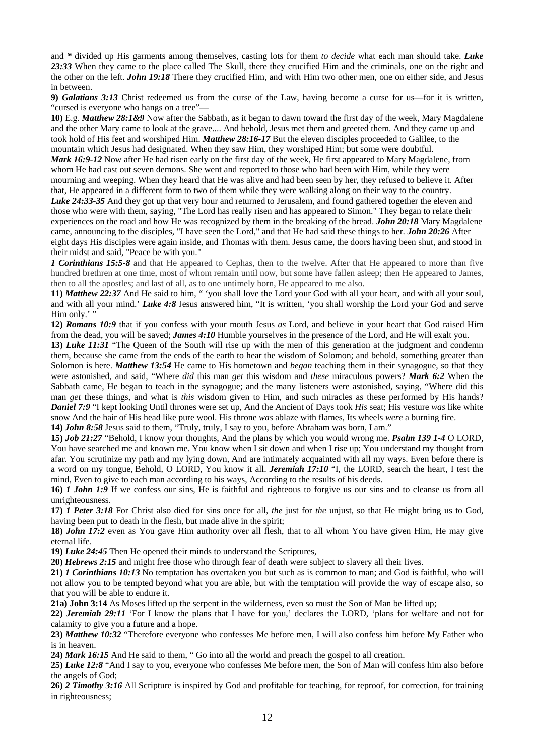and *\** divided up His garments among themselves, casting lots for them *to decide* what each man should take. *Luke 23:33* When they came to the place called The Skull, there they crucified Him and the criminals, one on the right and the other on the left. *John 19:18* There they crucified Him, and with Him two other men, one on either side, and Jesus in between.

**9)** *Galatians 3:13* Christ redeemed us from the curse of the Law, having become a curse for us—for it is written, "cursed is everyone who hangs on a tree"—

**10)** E.g. *Matthew 28:1&9* Now after the Sabbath, as it began to dawn toward the first day of the week, Mary Magdalene and the other Mary came to look at the grave.... And behold, Jesus met them and greeted them. And they came up and took hold of His feet and worshiped Him. *Matthew 28:16-17* But the eleven disciples proceeded to Galilee, to the mountain which Jesus had designated. When they saw Him, they worshiped Him; but some were doubtful.

*Mark 16:9-12* Now after He had risen early on the first day of the week, He first appeared to Mary Magdalene, from whom He had cast out seven demons. She went and reported to those who had been with Him, while they were mourning and weeping. When they heard that He was alive and had been seen by her, they refused to believe it. After that, He appeared in a different form to two of them while they were walking along on their way to the country.

*Luke 24:33-35* And they got up that very hour and returned to Jerusalem, and found gathered together the eleven and those who were with them, saying, "The Lord has really risen and has appeared to Simon." They began to relate their experiences on the road and how He was recognized by them in the breaking of the bread. *John 20:18* Mary Magdalene came, announcing to the disciples, "I have seen the Lord," and that He had said these things to her. *John 20:26* After eight days His disciples were again inside, and Thomas with them. Jesus came, the doors having been shut, and stood in their midst and said, "Peace be with you."

*1 Corinthians 15:5-8* and that He appeared to Cephas, then to the twelve. After that He appeared to more than five hundred brethren at one time, most of whom remain until now, but some have fallen asleep; then He appeared to James, then to all the apostles; and last of all, as to one untimely born, He appeared to me also.

**11)** *Matthew 22:37* And He said to him, " 'you shall love the Lord your God with all your heart, and with all your soul, and with all your mind.' *Luke 4:8* Jesus answered him, "It is written, 'you shall worship the Lord your God and serve Him only.'"

**12)** *Romans 10:9* that if you confess with your mouth Jesus *as* Lord, and believe in your heart that God raised Him from the dead, you will be saved; *James 4:10* Humble yourselves in the presence of the Lord, and He will exalt you.

**13)** *Luke 11:31* "The Queen of the South will rise up with the men of this generation at the judgment and condemn them, because she came from the ends of the earth to hear the wisdom of Solomon; and behold, something greater than Solomon is here. *Matthew 13:54* He came to His hometown and *began* teaching them in their synagogue, so that they were astonished, and said, "Where *did* this man *get* this wisdom and *these* miraculous powers? *Mark 6:2* When the Sabbath came, He began to teach in the synagogue; and the many listeners were astonished, saying, "Where did this man *get* these things, and what is *this* wisdom given to Him, and such miracles as these performed by His hands? *Daniel 7:9* "I kept looking Until thrones were set up, And the Ancient of Days took *His* seat; His vesture *was* like white snow And the hair of His head like pure wool. His throne *was* ablaze with flames, Its wheels *were* a burning fire.

**14)** *John 8:58* Jesus said to them, "Truly, truly, I say to you, before Abraham was born, I am."

**15)** *Job 21:27* "Behold, I know your thoughts, And the plans by which you would wrong me. *Psalm 139 1-4* O LORD, You have searched me and known me. You know when I sit down and when I rise up; You understand my thought from afar. You scrutinize my path and my lying down, And are intimately acquainted with all my ways. Even before there is a word on my tongue, Behold, O LORD, You know it all. *Jeremiah 17:10* "I, the LORD, search the heart, I test the mind, Even to give to each man according to his ways, According to the results of his deeds.

**16)** *1 John 1:9* If we confess our sins, He is faithful and righteous to forgive us our sins and to cleanse us from all unrighteousness.

**17)** *1 Peter 3:18* For Christ also died for sins once for all, *the* just for *the* unjust, so that He might bring us to God, having been put to death in the flesh, but made alive in the spirit;

**18)** *John 17:2* even as You gave Him authority over all flesh, that to all whom You have given Him, He may give eternal life.

**19)** *Luke 24:45* Then He opened their minds to understand the Scriptures,

**20)** *Hebrews 2:15* and might free those who through fear of death were subject to slavery all their lives.

**21)** *1 Corinthians 10:13* No temptation has overtaken you but such as is common to man; and God is faithful, who will not allow you to be tempted beyond what you are able, but with the temptation will provide the way of escape also, so that you will be able to endure it.

**21a) John 3:14** As Moses lifted up the serpent in the wilderness, even so must the Son of Man be lifted up;

**22)** *Jeremiah 29:11* 'For I know the plans that I have for you,' declares the LORD, 'plans for welfare and not for calamity to give you a future and a hope.

**23)** *Matthew 10:32* "Therefore everyone who confesses Me before men, I will also confess him before My Father who is in heaven.

**24)** *Mark 16:15* And He said to them, " Go into all the world and preach the gospel to all creation.

**25)** *Luke 12:8* "And I say to you, everyone who confesses Me before men, the Son of Man will confess him also before the angels of God;

**26)** *2 Timothy 3:16* All Scripture is inspired by God and profitable for teaching, for reproof, for correction, for training in righteousness;